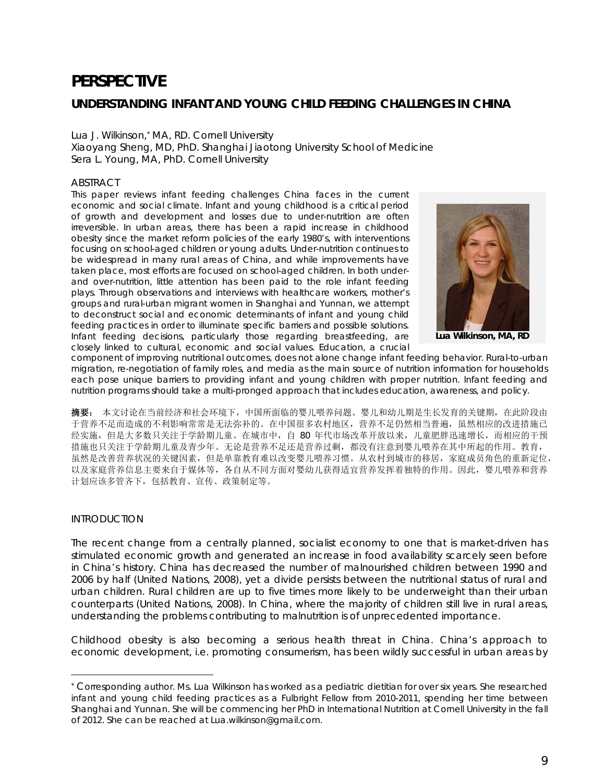# **PERSPECTIVE**

# **UNDERSTANDING INFANT AND YOUNG CHILD FEEDING CHALLENGES IN CHINA**

#### *Lua J. Wilkinson,*\* *MA, RD. Cornell University*

*Xiaoyang Sheng, MD, PhD. Shanghai Jiaotong University School of Medicine Sera L. Young, MA, PhD. Cornell University* 

#### ABSTRACT

This paper reviews infant feeding challenges China faces in the current *economic and social climate. Infant and young childhood is a critical period of growth and development and losses due to under-nutrition are often irreversible. In urban areas, there has been a rapid increase in childhood obesity since the market reform policies of the early 1980's, with interventions focusing on school-aged children or young adults. Under-nutrition continues to be widespread in many rural areas of China, and while improvements have taken place, most efforts are focused on school-aged children. In both under*and over-nutrition, little attention has been paid to the role infant feeding *plays. Through observations and interviews with healthcare workers, mother's groups and rural-urban migrant women in Shanghai and Yunnan, we attempt to deconstruct social and economic determinants of infant and young child feeding practices in order to illuminate specific barriers and possible solutions. Infant feeding decisions, particularly those regarding breastfeeding, are closely linked to cultural, economic and social values. Education, a crucial* 



**Lua Wilkinson, MA, RD** 

*component of improving nutritional outcomes, does not alone change infant feeding behavior. Rural-to-urban migration, re-negotiation of family roles, and media as the main source of nutrition information for households each pose unique barriers to providing infant and young children with proper nutrition. Infant feeding and nutrition programs should take a multi-pronged approach that includes education, awareness, and policy.* 

摘要: 本文讨论在当前经济和社会环境下,中国所面临的婴儿喂养问题。婴儿和幼儿期是生长发育的关键期,在此阶段由 于营养不足而造成的不利影响常常是无法弥补的。在中国很多农村地区,营养不足仍然相当普遍,虽然相应的改进措施已 经实施,但是大多数只关注于学龄期儿童。在城市中,自 80 年代市场改革开放以来,儿童肥胖迅速增长,而相应的干预 措施也只关注于学龄期儿童及青少年。无论是营养不足还是营养过剩,都没有注意到婴儿喂养在其中所起的作用。教育, 虽然是改善营养状况的关键因素,但是单靠教育难以改变婴儿喂养习惯。从农村到城市的移居,家庭成员角色的重新定位, 以及家庭营养信息主要来自于媒体等,各自从不同方面对婴幼儿获得适宜营养发挥着独特的作用。因此,婴儿喂养和营养 计划应该多管齐下,包括教育、宣传、政策制定等。

## INTRODUCTION

 $\overline{a}$ 

The recent change from a centrally planned, socialist economy to one that is market-driven has stimulated economic growth and generated an increase in food availability scarcely seen before in China's history. China has decreased the number of malnourished children between 1990 and 2006 by half (United Nations, 2008), yet a divide persists between the nutritional status of rural and urban children. Rural children are up to five times more likely to be underweight than their urban counterparts (United Nations, 2008). In China, where the majority of children still live in rural areas, understanding the problems contributing to malnutrition is of unprecedented importance.

Childhood obesity is also becoming a serious health threat in China. China's approach to economic development, i.e. promoting consumerism, has been wildly successful in urban areas by

*<sup>\*</sup>* Corresponding author. Ms. Lua Wilkinson has worked as a pediatric dietitian for over six years. She researched infant and young child feeding practices as a Fulbright Fellow from 2010-2011, spending her time between Shanghai and Yunnan. She will be commencing her PhD in International Nutrition at Cornell University in the fall of 2012. She can be reached at Lua.wilkinson@gmail.com.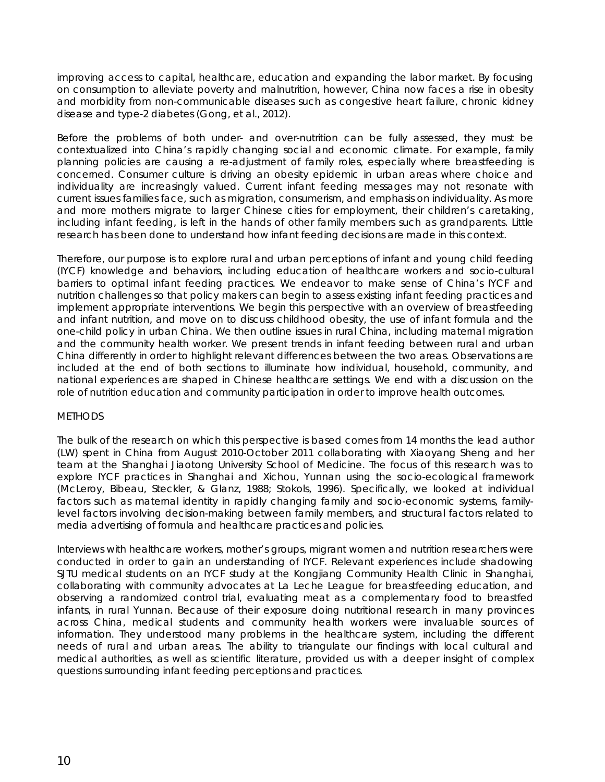improving access to capital, healthcare, education and expanding the labor market. By focusing on consumption to alleviate poverty and malnutrition, however, China now faces a rise in obesity and morbidity from non-communicable diseases such as congestive heart failure, chronic kidney disease and type-2 diabetes (Gong, et al., 2012).

Before the problems of both under- and over-nutrition can be fully assessed, they must be contextualized into China's rapidly changing social and economic climate. For example, family planning policies are causing a re-adjustment of family roles, especially where breastfeeding is concerned. Consumer culture is driving an obesity epidemic in urban areas where choice and individuality are increasingly valued. Current infant feeding messages may not resonate with current issues families face, such as migration, consumerism, and emphasis on individuality. As more and more mothers migrate to larger Chinese cities for employment, their children's caretaking, including infant feeding, is left in the hands of other family members such as grandparents. Little research has been done to understand how infant feeding decisions are made in this context.

Therefore, our purpose is to explore rural and urban perceptions of infant and young child feeding (IYCF) knowledge and behaviors, including education of healthcare workers and socio-cultural barriers to optimal infant feeding practices. We endeavor to make sense of China's IYCF and nutrition challenges so that policy makers can begin to assess existing infant feeding practices and implement appropriate interventions. We begin this perspective with an overview of breastfeeding and infant nutrition, and move on to discuss childhood obesity, the use of infant formula and the one-child policy in urban China. We then outline issues in rural China, including maternal migration and the community health worker. We present trends in infant feeding between rural and urban China differently in order to highlight relevant differences between the two areas. Observations are included at the end of both sections to illuminate how individual, household, community, and national experiences are shaped in Chinese healthcare settings. We end with a discussion on the role of nutrition education and community participation in order to improve health outcomes.

## **METHODS**

The bulk of the research on which this perspective is based comes from 14 months the lead author (LW) spent in China from August 2010-October 2011 collaborating with Xiaoyang Sheng and her team at the Shanghai Jiaotong University School of Medicine. The focus of this research was to explore IYCF practices in Shanghai and Xichou, Yunnan using the socio-ecological framework (McLeroy, Bibeau, Steckler, & Glanz, 1988; Stokols, 1996). Specifically, we looked at individual factors such as maternal identity in rapidly changing family and socio-economic systems, familylevel factors involving decision-making between family members, and structural factors related to media advertising of formula and healthcare practices and policies.

Interviews with healthcare workers, mother's groups, migrant women and nutrition researchers were conducted in order to gain an understanding of IYCF. Relevant experiences include shadowing SJTU medical students on an IYCF study at the Kongjiang Community Health Clinic in Shanghai, collaborating with community advocates at La Leche League for breastfeeding education, and observing a randomized control trial, evaluating meat as a complementary food to breastfed infants, in rural Yunnan. Because of their exposure doing nutritional research in many provinces across China, medical students and community health workers were invaluable sources of information. They understood many problems in the healthcare system, including the different needs of rural and urban areas. The ability to triangulate our findings with local cultural and medical authorities, as well as scientific literature, provided us with a deeper insight of complex questions surrounding infant feeding perceptions and practices.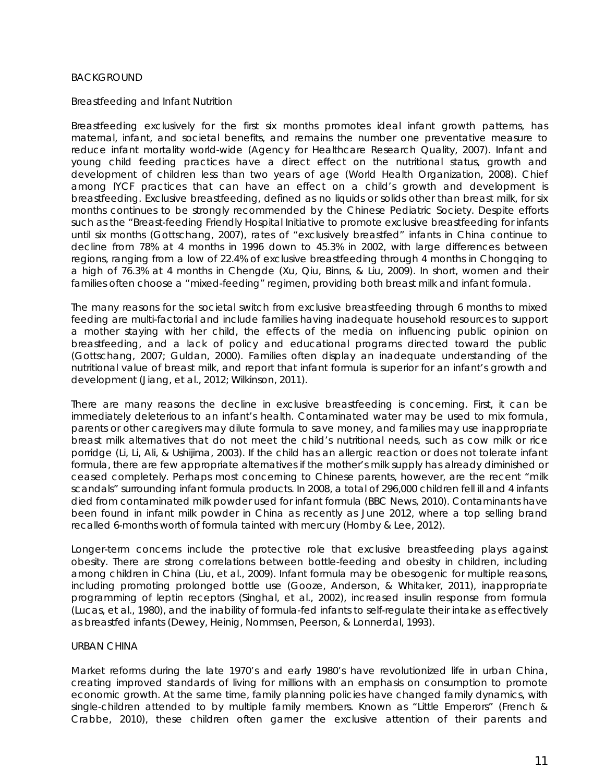#### BACKGROUND

#### *Breastfeeding and Infant Nutrition*

Breastfeeding exclusively for the first six months promotes ideal infant growth patterns, has maternal, infant, and societal benefits, and remains the number one preventative measure to reduce infant mortality world-wide (Agency for Healthcare Research Quality, 2007). Infant and young child feeding practices have a direct effect on the nutritional status, growth and development of children less than two years of age (World Health Organization, 2008). Chief among IYCF practices that can have an effect on a child's growth and development is breastfeeding. Exclusive breastfeeding, defined as no liquids or solids other than breast milk, for six months continues to be strongly recommended by the Chinese Pediatric Society. Despite efforts such as the "Breast-feeding Friendly Hospital Initiative to promote exclusive breastfeeding for infants until six months (Gottschang, 2007), rates of "exclusively breastfed" infants in China continue to decline from 78% at 4 months in 1996 down to 45.3% in 2002, with large differences between regions, ranging from a low of 22.4% of exclusive breastfeeding through 4 months in Chongqing to a high of 76.3% at 4 months in Chengde (Xu, Qiu, Binns, & Liu, 2009). In short, women and their families often choose a "mixed-feeding" regimen, providing both breast milk and infant formula.

The many reasons for the societal switch from exclusive breastfeeding through 6 months to mixed feeding are multi-factorial and include families having inadequate household resources to support a mother staying with her child, the effects of the media on influencing public opinion on breastfeeding, and a lack of policy and educational programs directed toward the public (Gottschang, 2007; Guldan, 2000). Families often display an inadequate understanding of the nutritional value of breast milk, and report that infant formula is superior for an infant's growth and development (Jiang, et al., 2012; Wilkinson, 2011).

There are many reasons the decline in exclusive breastfeeding is concerning. First, it can be immediately deleterious to an infant's health. Contaminated water may be used to mix formula, parents or other caregivers may dilute formula to save money, and families may use inappropriate breast milk alternatives that do not meet the child's nutritional needs, such as cow milk or rice porridge (Li, Li, Ali, & Ushijima, 2003). If the child has an allergic reaction or does not tolerate infant formula, there are few appropriate alternatives if the mother's milk supply has already diminished or ceased completely. Perhaps most concerning to Chinese parents, however, are the recent "milk scandals" surrounding infant formula products. In 2008, a total of 296,000 children fell ill and 4 infants died from contaminated milk powder used for infant formula (BBC News, 2010). Contaminants have been found in infant milk powder in China as recently as June 2012, where a top selling brand recalled 6-months worth of formula tainted with mercury (Hornby & Lee, 2012).

Longer-term concerns include the protective role that exclusive breastfeeding plays against obesity. There are strong correlations between bottle-feeding and obesity in children, including among children in China (Liu, et al., 2009). Infant formula may be obesogenic for multiple reasons, including promoting prolonged bottle use (Gooze, Anderson, & Whitaker, 2011), inappropriate programming of leptin receptors (Singhal, et al., 2002), increased insulin response from formula (Lucas, et al., 1980), and the inability of formula-fed infants to self-regulate their intake as effectively as breastfed infants (Dewey, Heinig, Nommsen, Peerson, & Lonnerdal, 1993).

#### URBAN CHINA

Market reforms during the late 1970's and early 1980's have revolutionized life in urban China, creating improved standards of living for millions with an emphasis on consumption to promote economic growth. At the same time, family planning policies have changed family dynamics, with single-children attended to by multiple family members. Known as "Little Emperors" (French & Crabbe, 2010), these children often garner the exclusive attention of their parents and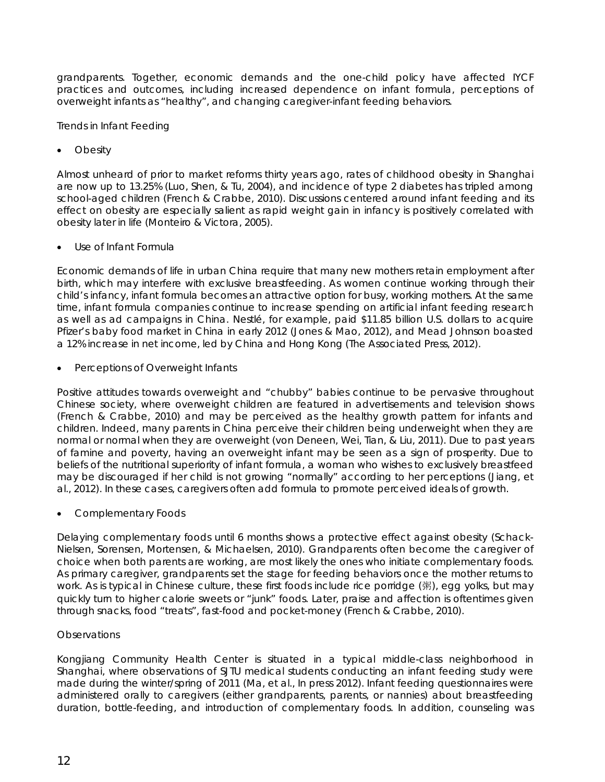grandparents. Together, economic demands and the one-child policy have affected IYCF practices and outcomes, including increased dependence on infant formula, perceptions of overweight infants as "healthy", and changing caregiver-infant feeding behaviors.

# *Trends in Infant Feeding*

**Obesity** 

Almost unheard of prior to market reforms thirty years ago, rates of childhood obesity in Shanghai are now up to 13.25% (Luo, Shen, & Tu, 2004), and incidence of type 2 diabetes has tripled among school-aged children (French & Crabbe, 2010). Discussions centered around infant feeding and its effect on obesity are especially salient as rapid weight gain in infancy is positively correlated with obesity later in life (Monteiro & Victora, 2005).

Use of Infant Formula

Economic demands of life in urban China require that many new mothers retain employment after birth, which may interfere with exclusive breastfeeding. As women continue working through their child's infancy, infant formula becomes an attractive option for busy, working mothers. At the same time, infant formula companies continue to increase spending on artificial infant feeding research as well as ad campaigns in China. Nestlé, for example, paid \$11.85 billion U.S. dollars to acquire Pfizer's baby food market in China in early 2012 (Jones & Mao, 2012), and Mead Johnson boasted a 12% increase in net income, led by China and Hong Kong (The Associated Press, 2012).

• Perceptions of Overweight Infants

Positive attitudes towards overweight and "chubby" babies continue to be pervasive throughout Chinese society, where overweight children are featured in advertisements and television shows (French & Crabbe, 2010) and may be perceived as the healthy growth pattern for infants and children. Indeed, many parents in China perceive their children being underweight when they are normal or normal when they are overweight (von Deneen, Wei, Tian, & Liu, 2011). Due to past years of famine and poverty, having an overweight infant may be seen as a sign of prosperity. Due to beliefs of the nutritional superiority of infant formula, a woman who wishes to exclusively breastfeed may be discouraged if her child is not growing "normally" according to her perceptions (Jiang, et al., 2012). In these cases, caregivers often add formula to promote perceived ideals of growth.

• Complementary Foods

Delaying complementary foods until 6 months shows a protective effect against obesity (Schack-Nielsen, Sorensen, Mortensen, & Michaelsen, 2010). Grandparents often become the caregiver of choice when both parents are working, are most likely the ones who initiate complementary foods. As primary caregiver, grandparents set the stage for feeding behaviors once the mother returns to work. As is typical in Chinese culture, these first foods include rice porridge (粥), egg yolks, but may quickly turn to higher calorie sweets or "junk" foods. Later, praise and affection is oftentimes given through snacks, food "treats", fast-food and pocket-money (French & Crabbe, 2010).

# *Observations*

Kongjiang Community Health Center is situated in a typical middle-class neighborhood in Shanghai, where observations of SJTU medical students conducting an infant feeding study were made during the winter/spring of 2011 (Ma, et al., In press 2012). Infant feeding questionnaires were administered orally to caregivers (either grandparents, parents, or nannies) about breastfeeding duration, bottle-feeding, and introduction of complementary foods. In addition, counseling was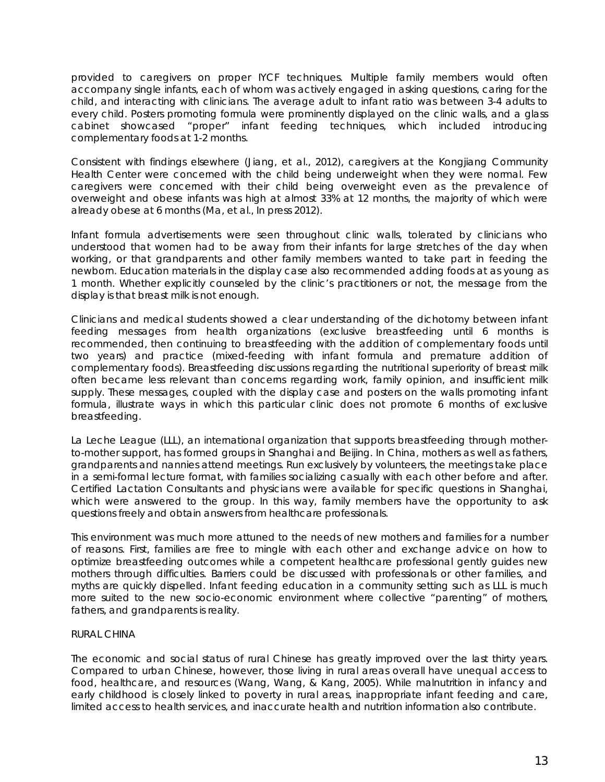provided to caregivers on proper IYCF techniques. Multiple family members would often accompany single infants, each of whom was actively engaged in asking questions, caring for the child, and interacting with clinicians. The average adult to infant ratio was between 3-4 adults to every child. Posters promoting formula were prominently displayed on the clinic walls, and a glass cabinet showcased "proper" infant feeding techniques, which included introducing complementary foods at 1-2 months.

Consistent with findings elsewhere (Jiang, et al., 2012), caregivers at the Kongjiang Community Health Center were concerned with the child being underweight when they were normal. Few caregivers were concerned with their child being overweight even as the prevalence of overweight and obese infants was high at almost 33% at 12 months, the majority of which were already obese at 6 months (Ma, et al., In press 2012).

Infant formula advertisements were seen throughout clinic walls, tolerated by clinicians who understood that women had to be away from their infants for large stretches of the day when working, or that grandparents and other family members wanted to take part in feeding the newborn. Education materials in the display case also recommended adding foods at as young as 1 month. Whether explicitly counseled by the clinic's practitioners or not, the message from the display is that breast milk is not enough.

Clinicians and medical students showed a clear understanding of the dichotomy between infant feeding messages from health organizations (exclusive breastfeeding until 6 months is recommended, then continuing to breastfeeding with the addition of complementary foods until two years) and practice (mixed-feeding with infant formula and premature addition of complementary foods). Breastfeeding discussions regarding the nutritional superiority of breast milk often became less relevant than concerns regarding work, family opinion, and insufficient milk supply. These messages, coupled with the display case and posters on the walls promoting infant formula, illustrate ways in which this particular clinic does not promote 6 months of exclusive breastfeeding.

La Leche League (LLL), an international organization that supports breastfeeding through motherto-mother support, has formed groups in Shanghai and Beijing. In China, mothers as well as fathers, grandparents and nannies attend meetings. Run exclusively by volunteers, the meetings take place in a semi-formal lecture format, with families socializing casually with each other before and after. Certified Lactation Consultants and physicians were available for specific questions in Shanghai, which were answered to the group. In this way, family members have the opportunity to ask questions freely and obtain answers from healthcare professionals.

This environment was much more attuned to the needs of new mothers and families for a number of reasons. First, families are free to mingle with each other and exchange advice on how to optimize breastfeeding outcomes while a competent healthcare professional gently guides new mothers through difficulties. Barriers could be discussed with professionals or other families, and myths are quickly dispelled. Infant feeding education in a community setting such as LLL is much more suited to the new socio-economic environment where collective "parenting" of mothers, fathers, and grandparents is reality.

## RURAL CHINA

The economic and social status of rural Chinese has greatly improved over the last thirty years. Compared to urban Chinese, however, those living in rural areas overall have unequal access to food, healthcare, and resources (Wang, Wang, & Kang, 2005). While malnutrition in infancy and early childhood is closely linked to poverty in rural areas, inappropriate infant feeding and care, limited access to health services, and inaccurate health and nutrition information also contribute.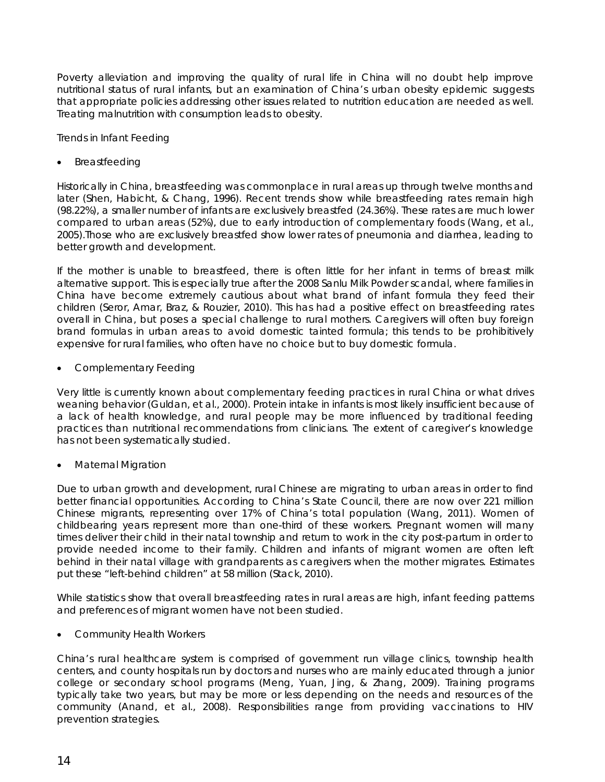Poverty alleviation and improving the quality of rural life in China will no doubt help improve nutritional status of rural infants, but an examination of China's urban obesity epidemic suggests that appropriate policies addressing other issues related to nutrition education are needed as well. Treating malnutrition with consumption leads to obesity.

# *Trends in Infant Feeding*

# • Breastfeeding

Historically in China, breastfeeding was commonplace in rural areas up through twelve months and later (Shen, Habicht, & Chang, 1996). Recent trends show while breastfeeding rates remain high (98.22%), a smaller number of infants are exclusively breastfed (24.36%). These rates are much lower compared to urban areas (52%), due to early introduction of complementary foods (Wang, et al., 2005).Those who are exclusively breastfed show lower rates of pneumonia and diarrhea, leading to better growth and development.

If the mother is unable to breastfeed, there is often little for her infant in terms of breast milk alternative support. This is especially true after the 2008 Sanlu Milk Powder scandal, where families in China have become extremely cautious about what brand of infant formula they feed their children (Seror, Amar, Braz, & Rouzier, 2010). This has had a positive effect on breastfeeding rates overall in China, but poses a special challenge to rural mothers. Caregivers will often buy foreign brand formulas in urban areas to avoid domestic tainted formula; this tends to be prohibitively expensive for rural families, who often have no choice but to buy domestic formula.

• Complementary Feeding

Very little is currently known about complementary feeding practices in rural China or what drives weaning behavior (Guldan, et al., 2000). Protein intake in infants is most likely insufficient because of a lack of health knowledge, and rural people may be more influenced by traditional feeding practices than nutritional recommendations from clinicians. The extent of caregiver's knowledge has not been systematically studied.

• Maternal Migration

Due to urban growth and development, rural Chinese are migrating to urban areas in order to find better financial opportunities. According to China's State Council, there are now over 221 million Chinese migrants, representing over 17% of China's total population (Wang, 2011). Women of childbearing years represent more than one-third of these workers. Pregnant women will many times deliver their child in their natal township and return to work in the city post-partum in order to provide needed income to their family. Children and infants of migrant women are often left behind in their natal village with grandparents as caregivers when the mother migrates. Estimates put these "left-behind children" at 58 million (Stack, 2010).

While statistics show that overall breastfeeding rates in rural areas are high, infant feeding patterns and preferences of migrant women have not been studied.

• Community Health Workers

China's rural healthcare system is comprised of government run village clinics, township health centers, and county hospitals run by doctors and nurses who are mainly educated through a junior college or secondary school programs (Meng, Yuan, Jing, & Zhang, 2009). Training programs typically take two years, but may be more or less depending on the needs and resources of the community (Anand, et al., 2008). Responsibilities range from providing vaccinations to HIV prevention strategies.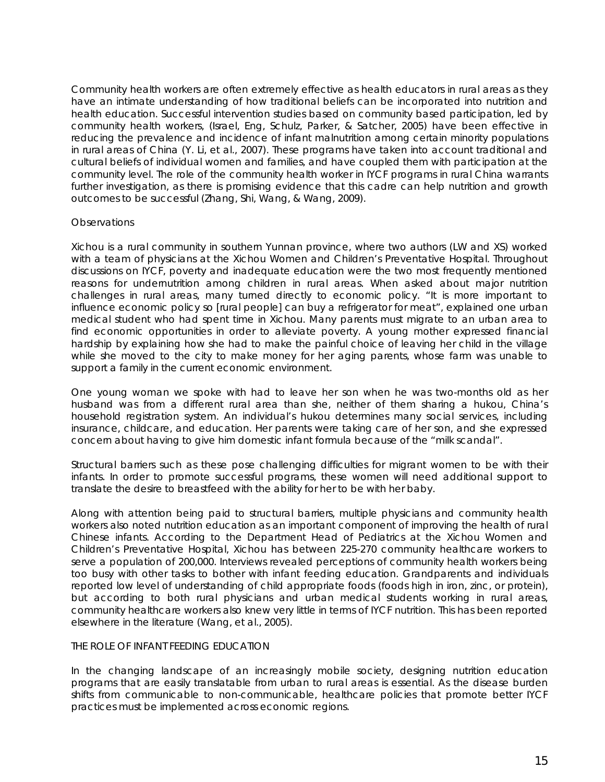Community health workers are often extremely effective as health educators in rural areas as they have an intimate understanding of how traditional beliefs can be incorporated into nutrition and health education. Successful intervention studies based on community based participation, led by community health workers, (Israel, Eng, Schulz, Parker, & Satcher, 2005) have been effective in reducing the prevalence and incidence of infant malnutrition among certain minority populations in rural areas of China (Y. Li, et al., 2007). These programs have taken into account traditional and cultural beliefs of individual women and families, and have coupled them with participation at the community level. The role of the community health worker in IYCF programs in rural China warrants further investigation, as there is promising evidence that this cadre can help nutrition and growth outcomes to be successful (Zhang, Shi, Wang, & Wang, 2009).

## *Observations*

Xichou is a rural community in southern Yunnan province, where two authors (LW and XS) worked with a team of physicians at the Xichou Women and Children's Preventative Hospital. Throughout discussions on IYCF, poverty and inadequate education were the two most frequently mentioned reasons for undernutrition among children in rural areas. When asked about major nutrition challenges in rural areas, many turned directly to economic policy. "It is more important to influence economic policy so [rural people] can buy a refrigerator for meat", explained one urban medical student who had spent time in Xichou. Many parents must migrate to an urban area to find economic opportunities in order to alleviate poverty. A young mother expressed financial hardship by explaining how she had to make the painful choice of leaving her child in the village while she moved to the city to make money for her aging parents, whose farm was unable to support a family in the current economic environment.

One young woman we spoke with had to leave her son when he was two-months old as her husband was from a different rural area than she, neither of them sharing a hukou, China's household registration system. An individual's hukou determines many social services, including insurance, childcare, and education. Her parents were taking care of her son, and she expressed concern about having to give him domestic infant formula because of the "milk scandal".

Structural barriers such as these pose challenging difficulties for migrant women to be with their infants. In order to promote successful programs, these women will need additional support to translate the desire to breastfeed with the ability for her to be with her baby.

Along with attention being paid to structural barriers, multiple physicians and community health workers also noted nutrition education as an important component of improving the health of rural Chinese infants. According to the Department Head of Pediatrics at the Xichou Women and Children's Preventative Hospital, Xichou has between 225-270 community healthcare workers to serve a population of 200,000. Interviews revealed perceptions of community health workers being too busy with other tasks to bother with infant feeding education. Grandparents and individuals reported low level of understanding of child appropriate foods (foods high in iron, zinc, or protein), but according to both rural physicians and urban medical students working in rural areas, community healthcare workers also knew very little in terms of IYCF nutrition. This has been reported elsewhere in the literature (Wang, et al., 2005).

#### THE ROLE OF INFANT FEEDING EDUCATION

In the changing landscape of an increasingly mobile society, designing nutrition education programs that are easily translatable from urban to rural areas is essential. As the disease burden shifts from communicable to non-communicable, healthcare policies that promote better IYCF practices must be implemented across economic regions.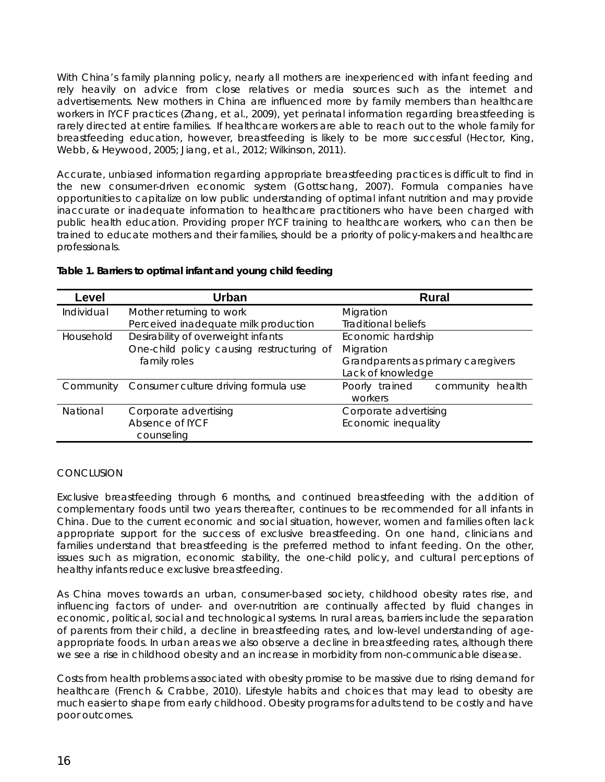With China's family planning policy, nearly all mothers are inexperienced with infant feeding and rely heavily on advice from close relatives or media sources such as the internet and advertisements. New mothers in China are influenced more by family members than healthcare workers in IYCF practices (Zhang, et al., 2009), yet perinatal information regarding breastfeeding is rarely directed at entire families. If healthcare workers are able to reach out to the whole family for breastfeeding education, however, breastfeeding is likely to be more successful (Hector, King, Webb, & Heywood, 2005; Jiang, et al., 2012; Wilkinson, 2011).

Accurate, unbiased information regarding appropriate breastfeeding practices is difficult to find in the new consumer-driven economic system (Gottschang, 2007). Formula companies have opportunities to capitalize on low public understanding of optimal infant nutrition and may provide inaccurate or inadequate information to healthcare practitioners who have been charged with public health education. Providing proper IYCF training to healthcare workers, who can then be trained to educate mothers and their families, should be a priority of policy-makers and healthcare professionals.

| Level      | <b>Urban</b>                              | <b>Rural</b>                          |
|------------|-------------------------------------------|---------------------------------------|
| Individual | Mother returning to work                  | Migration                             |
|            | Perceived inadequate milk production      | <b>Traditional beliefs</b>            |
| Household  | Desirability of overweight infants        | Economic hardship                     |
|            | One-child policy causing restructuring of | Migration                             |
|            | family roles                              | Grandparents as primary caregivers    |
|            |                                           | Lack of knowledge                     |
| Community  | Consumer culture driving formula use      | Poorly trained<br>community<br>health |
|            |                                           | workers                               |
| National   | Corporate advertising                     | Corporate advertising                 |
|            | Absence of IYCF                           | Economic inequality                   |
|            | counseling                                |                                       |

#### **Table 1. Barriers to optimal infant and young child feeding**

## **CONCLUSION**

Exclusive breastfeeding through 6 months, and continued breastfeeding with the addition of complementary foods until two years thereafter, continues to be recommended for all infants in China. Due to the current economic and social situation, however, women and families often lack appropriate support for the success of exclusive breastfeeding. On one hand, clinicians and families understand that breastfeeding is the preferred method to infant feeding. On the other, issues such as migration, economic stability, the one-child policy, and cultural perceptions of healthy infants reduce exclusive breastfeeding.

As China moves towards an urban, consumer-based society, childhood obesity rates rise, and influencing factors of under- and over-nutrition are continually affected by fluid changes in economic, political, social and technological systems. In rural areas, barriers include the separation of parents from their child, a decline in breastfeeding rates, and low-level understanding of ageappropriate foods. In urban areas we also observe a decline in breastfeeding rates, although there we see a rise in childhood obesity and an increase in morbidity from non-communicable disease.

Costs from health problems associated with obesity promise to be massive due to rising demand for healthcare (French & Crabbe, 2010). Lifestyle habits and choices that may lead to obesity are much easier to shape from early childhood. Obesity programs for adults tend to be costly and have poor outcomes.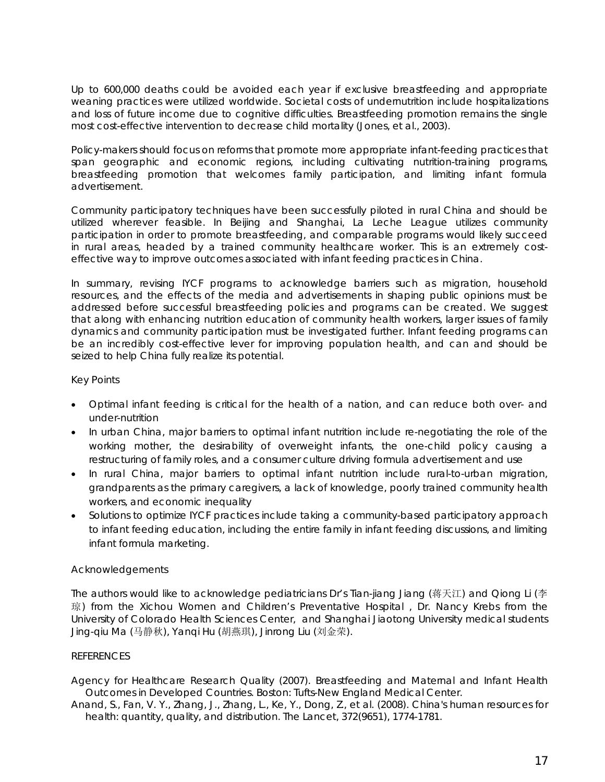Up to 600,000 deaths could be avoided each year if exclusive breastfeeding and appropriate weaning practices were utilized worldwide. Societal costs of undernutrition include hospitalizations and loss of future income due to cognitive difficulties. Breastfeeding promotion remains the single most cost-effective intervention to decrease child mortality (Jones, et al., 2003).

Policy-makers should focus on reforms that promote more appropriate infant-feeding practices that span geographic and economic regions, including cultivating nutrition-training programs, breastfeeding promotion that welcomes family participation, and limiting infant formula advertisement.

Community participatory techniques have been successfully piloted in rural China and should be utilized wherever feasible. In Beijing and Shanghai, La Leche League utilizes community participation in order to promote breastfeeding, and comparable programs would likely succeed in rural areas, headed by a trained community healthcare worker. This is an extremely costeffective way to improve outcomes associated with infant feeding practices in China.

In summary, revising IYCF programs to acknowledge barriers such as migration, household resources, and the effects of the media and advertisements in shaping public opinions must be addressed before successful breastfeeding policies and programs can be created. We suggest that along with enhancing nutrition education of community health workers, larger issues of family dynamics and community participation must be investigated further. Infant feeding programs can be an incredibly cost-effective lever for improving population health, and can and should be seized to help China fully realize its potential.

# Key Points

- Optimal infant feeding is critical for the health of a nation, and can reduce both over- and under-nutrition
- In urban China, major barriers to optimal infant nutrition include re-negotiating the role of the working mother, the desirability of overweight infants, the one-child policy causing a restructuring of family roles, and a consumer culture driving formula advertisement and use
- In rural China, major barriers to optimal infant nutrition include rural-to-urban migration, grandparents as the primary caregivers, a lack of knowledge, poorly trained community health workers, and economic inequality
- Solutions to optimize IYCF practices include taking a community-based participatory approach to infant feeding education, including the entire family in infant feeding discussions, and limiting infant formula marketing.

## Acknowledgements

The authors would like to acknowledge pediatricians Dr's Tian-jiang Jiang (蒋天江) and Qiong Li (李 琼) from the Xichou Women and Children's Preventative Hospital, Dr. Nancy Krebs from the University of Colorado Health Sciences Center, and Shanghai Jiaotong University medical students Jing-qiu Ma (马静秋), Yanqi Hu (胡燕琪), Jinrong Liu (刘金荣).

## **REFERENCES**

Agency for Healthcare Research Quality (2007). Breastfeeding and Maternal and Infant Health Outcomes in Developed Countries. Boston: Tufts-New England Medical Center.

Anand, S., Fan, V. Y., Zhang, J., Zhang, L., Ke, Y., Dong, Z., et al. (2008). China's human resources for health: quantity, quality, and distribution. The Lancet, 372(9651), 1774-1781.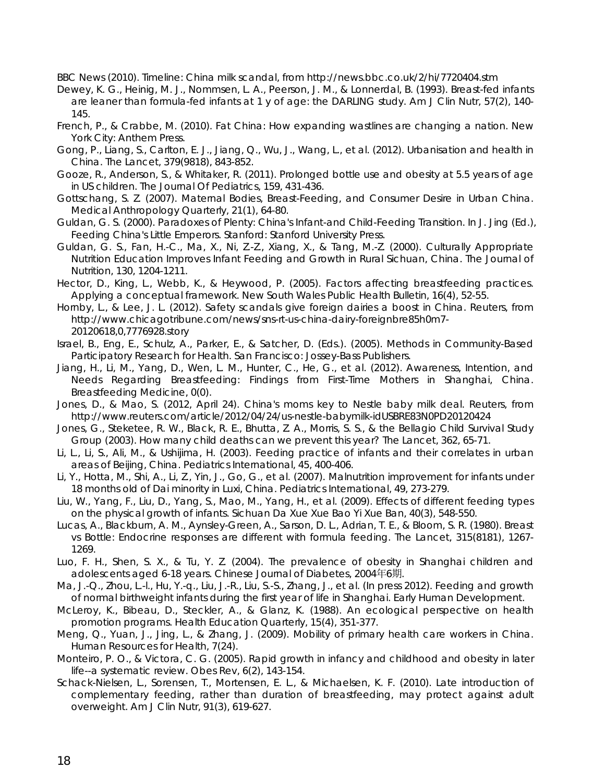BBC News (2010). Timeline: China milk scandal, from http://news.bbc.co.uk/2/hi/7720404.stm

- Dewey, K. G., Heinig, M. J., Nommsen, L. A., Peerson, J. M., & Lonnerdal, B. (1993). Breast-fed infants are leaner than formula-fed infants at 1 y of age: the DARLING study. Am J Clin Nutr, 57(2), 140- 145.
- French, P., & Crabbe, M. (2010). Fat China: How expanding wastlines are changing a nation. New York City: Anthem Press.
- Gong, P., Liang, S., Carlton, E. J., Jiang, Q., Wu, J., Wang, L., et al. (2012). Urbanisation and health in China. The Lancet, 379(9818), 843-852.
- Gooze, R., Anderson, S., & Whitaker, R. (2011). Prolonged bottle use and obesity at 5.5 years of age in US children. The Journal Of Pediatrics, 159, 431-436.
- Gottschang, S. Z. (2007). Maternal Bodies, Breast-Feeding, and Consumer Desire in Urban China. Medical Anthropology Quarterly, 21(1), 64-80.
- Guldan, G. S. (2000). Paradoxes of Plenty: China's Infant-and Child-Feeding Transition. In J. Jing (Ed.), Feeding China's Little Emperors. Stanford: Stanford University Press.
- Guldan, G. S., Fan, H.-C., Ma, X., Ni, Z.-Z., Xiang, X., & Tang, M.-Z. (2000). Culturally Appropriate Nutrition Education Improves Infant Feeding and Growth in Rural Sichuan, China. The Journal of Nutrition, 130, 1204-1211.
- Hector, D., King, L., Webb, K., & Heywood, P. (2005). Factors affecting breastfeeding practices. Applying a conceptual framework. New South Wales Public Health Bulletin, 16(4), 52-55.
- Hornby, L., & Lee, J. L. (2012). Safety scandals give foreign dairies a boost in China. Reuters, from http://www.chicagotribune.com/news/sns-rt-us-china-dairy-foreignbre85h0m7- 20120618,0,7776928.story
- Israel, B., Eng, E., Schulz, A., Parker, E., & Satcher, D. (Eds.). (2005). Methods in Community-Based Participatory Research for Health. San Francisco: Jossey-Bass Publishers.
- Jiang, H., Li, M., Yang, D., Wen, L. M., Hunter, C., He, G., et al. (2012). Awareness, Intention, and Needs Regarding Breastfeeding: Findings from First-Time Mothers in Shanghai, China. Breastfeeding Medicine, 0(0).
- Jones, D., & Mao, S. (2012, April 24). China's moms key to Nestle baby milk deal. Reuters, from http://www.reuters.com/article/2012/04/24/us-nestle-babymilk-idUSBRE83N0PD20120424
- Jones, G., Steketee, R. W., Black, R. E., Bhutta, Z. A., Morris, S. S., & the Bellagio Child Survival Study Group (2003). How many child deaths can we prevent this year? The Lancet, 362, 65-71.
- Li, L., Li, S., Ali, M., & Ushijima, H. (2003). Feeding practice of infants and their correlates in urban areas of Beijing, China. Pediatrics International, 45, 400-406.
- Li, Y., Hotta, M., Shi, A., Li, Z., Yin, J., Go, G., et al. (2007). Malnutrition improvement for infants under 18 months old of Dai minority in Luxi, China. Pediatrics International, 49, 273-279.
- Liu, W., Yang, F., Liu, D., Yang, S., Mao, M., Yang, H., et al. (2009). Effects of different feeding types on the physical growth of infants. Sichuan Da Xue Xue Bao Yi Xue Ban, 40(3), 548-550.
- Lucas, A., Blackburn, A. M., Aynsley-Green, A., Sarson, D. L., Adrian, T. E., & Bloom, S. R. (1980). Breast vs Bottle: Endocrine responses are different with formula feeding. The Lancet, 315(8181), 1267- 1269.
- Luo, F. H., Shen, S. X., & Tu, Y. Z. (2004). The prevalence of obesity in Shanghai children and adolescents aged 6-18 years. Chinese Journal of Diabetes, 2004年6期.
- Ma, J.-Q., Zhou, L.-l., Hu, Y.-q., Liu, J.-R., Liu, S.-S., Zhang, J., et al. (In press 2012). Feeding and growth of normal birthweight infants during the first year of life in Shanghai. Early Human Development.
- McLeroy, K., Bibeau, D., Steckler, A., & Glanz, K. (1988). An ecological perspective on health promotion programs. Health Education Quarterly, 15(4), 351-377.
- Meng, Q., Yuan, J., Jing, L., & Zhang, J. (2009). Mobility of primary health care workers in China. Human Resources for Health, 7(24).
- Monteiro, P. O., & Victora, C. G. (2005). Rapid growth in infancy and childhood and obesity in later life--a systematic review. Obes Rev, 6(2), 143-154.
- Schack-Nielsen, L., Sorensen, T., Mortensen, E. L., & Michaelsen, K. F. (2010). Late introduction of complementary feeding, rather than duration of breastfeeding, may protect against adult overweight. Am J Clin Nutr, 91(3), 619-627.